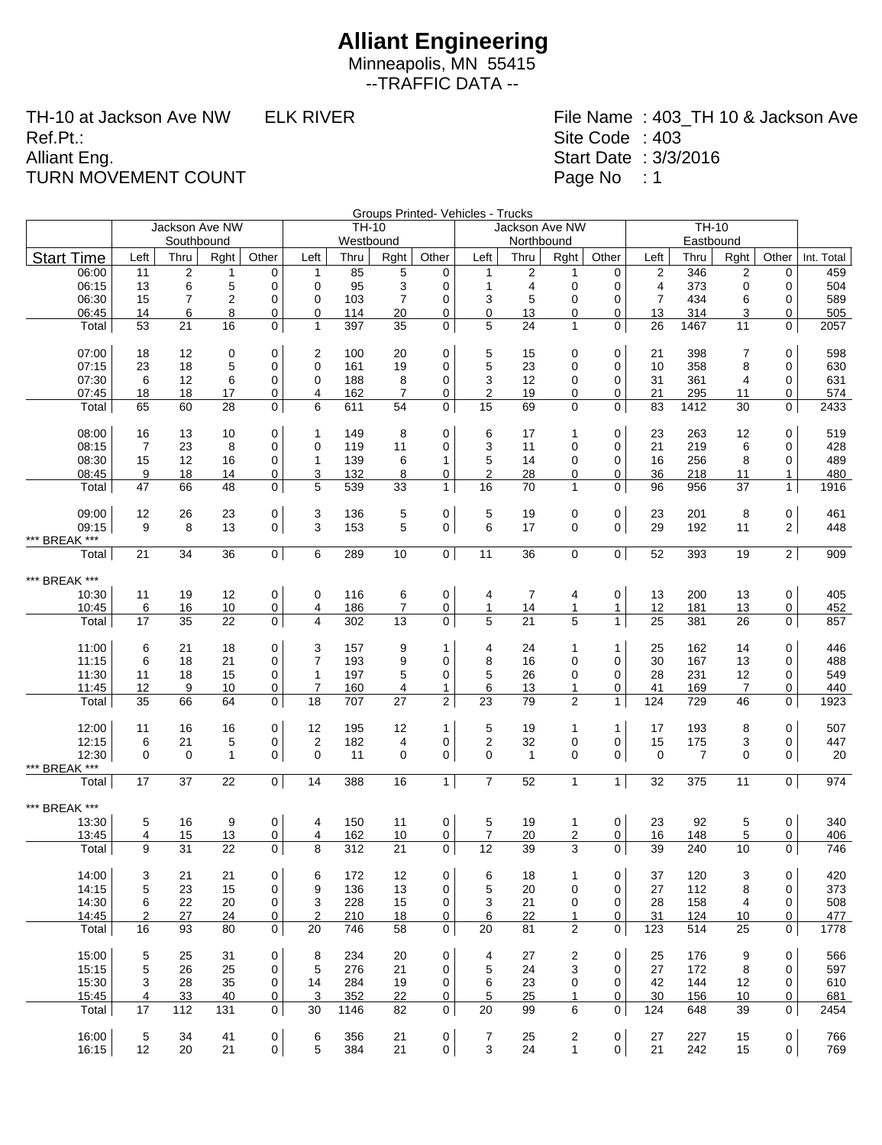Minneapolis, MN 55415 --TRAFFIC DATA --

TH-10 at Jackson Ave NW ELK RIVER Ref.Pt.: Alliant Eng. TURN MOVEMENT COUNT

|                        |          |                |                |                            |                  | Groups Printed- Vehicles - Trucks<br>$\overline{TH-10}$ |                |                |                  |                 |                |                |                |                   |             |                     |            |
|------------------------|----------|----------------|----------------|----------------------------|------------------|---------------------------------------------------------|----------------|----------------|------------------|-----------------|----------------|----------------|----------------|-------------------|-------------|---------------------|------------|
|                        |          | Jackson Ave NW |                |                            |                  | TH-10                                                   |                |                |                  | Jackson Ave NW  |                |                |                |                   |             |                     |            |
|                        |          | Southbound     |                |                            |                  | Westbound                                               |                |                |                  | Northbound      |                |                |                |                   |             |                     |            |
| <b>Start Time</b>      | Left     | Thru           | Rght           | Other                      | Left             | Thru                                                    | Rght           | Other          | Left             | Thru            | Rght           | Other          | Left           | Eastbound<br>Thru | Rght        | Other               | Int. Total |
| 06:00                  | 11       | $\mathbf 2$    | 1              | 0                          | 1                | 85                                                      | 5              | 0              | $\mathbf 1$      | $\overline{c}$  | 1              | 0              | $\overline{2}$ | 346               | 2           | 0                   | 459        |
| 06:15                  | 13       | 6              | $\mathbf 5$    | $\mathbf 0$                | $\mathbf 0$      | 95                                                      | 3              | 0              | $\mathbf{1}$     | 4               | $\mathbf 0$    | 0              | 4              | 373               | $\mathbf 0$ | 0                   | 504        |
| 06:30                  | 15       | 7              | $\overline{2}$ | 0                          | 0                | 103                                                     | $\overline{7}$ | 0              | 3                | 5               | 0              | 0              | 7              | 434               | 6           | 0                   | 589        |
| 06:45                  | 14       | 6              | 8              | 0                          | 0                | 114                                                     | 20             | 0              | $\mathbf 0$      | 13              | 0              | 0              | 13             | 314               | 3           | 0                   | 505        |
| Total                  | 53       | 21             | 16             | $\mathbf{0}$               | $\mathbf{1}$     | 397                                                     | 35             | 0              | 5                | 24              | $\mathbf{1}$   | 0              | 26             | 1467              | 11          | 0                   | 2057       |
| 07:00                  |          |                |                | $\mathbf 0$                |                  |                                                         |                | 0              | 5                |                 |                | 0              |                |                   |             | 0                   | 598        |
|                        | 18       | 12             | 0              |                            | 2                | 100                                                     | 20             |                |                  | 15              | 0              |                | 21             | 398               | 7           |                     |            |
| 07:15                  | 23       | 18             | 5              | $\mathbf 0$                | 0                | 161                                                     | 19             | 0              | 5                | 23              | 0              | 0              | 10             | 358               | 8           | 0                   | 630        |
| 07:30                  | 6        | 12             | 6              | 0                          | 0                | 188                                                     | 8              | 0              | 3                | 12              | 0              | 0              | 31             | 361               | 4           | 0                   | 631        |
| 07:45                  | 18       | 18             | 17             | 0                          | 4                | 162                                                     | $\overline{7}$ | 0              | $\overline{2}$   | 19              | 0              | 0              | 21             | 295               | 11          | 0                   | 574        |
| Total                  | 65       | 60             | 28             | $\mathbf 0$                | 6                | 611                                                     | 54             | 0              | 15               | 69              | 0              | 0              | 83             | 1412              | 30          | 0                   | 2433       |
| 08:00                  | 16       | 13             | 10             | 0                          | $\mathbf{1}$     | 149                                                     | 8              | 0              | 6                | 17              | 1              | 0              | 23             | 263               | 12          | $\mathbf 0$         | 519        |
| 08:15                  | 7        | 23             | 8              | 0                          | 0                | 119                                                     | 11             | 0              | 3                | 11              | 0              | 0              | 21             | 219               | 6           | 0                   | 428        |
| 08:30                  | 15       | 12             | 16             | 0                          | 1                | 139                                                     | 6              | 1              | 5                | 14              | 0              | 0              | 16             | 256               | 8           | 0                   | 489        |
| 08:45                  | 9        | 18             | 14             | 0                          | 3                | 132                                                     | 8              | 0              | $\overline{2}$   | 28              | 0              | 0              | 36             | 218               | 11          | $\mathbf{1}$        | 480        |
| Total                  | 47       | 66             | 48             | $\mathbf 0$                | 5                | 539                                                     | 33             | $\mathbf{1}$   | 16               | 70              | $\mathbf{1}$   | 0              | 96             | 956               | 37          | $\mathbf{1}$        | 1916       |
|                        |          |                |                |                            |                  | 136                                                     |                |                |                  |                 |                |                | 23             | 201               |             | $\mathsf 0$         | 461        |
| 09:00                  | 12<br>9  | 26<br>8        | 23<br>13       | $\mathbf 0$<br>$\mathbf 0$ | 3<br>3           | 153                                                     | 5<br>5         | 0              | $\mathbf 5$<br>6 | 19              | 0              | $\mathsf 0$    | 29             | 192               | 8           | 2 <sup>1</sup>      | 448        |
| 09:15                  |          |                |                |                            |                  |                                                         |                | 0              |                  | 17              | 0              | 0              |                |                   | 11          |                     |            |
| *** BREAK ***<br>Total | 21       | 34             | 36             | 0                          | 6                | 289                                                     | 10             | $\overline{0}$ | 11               | $\overline{36}$ | 0              | 0              | 52             | 393               | 19          | $\overline{2}$      | 909        |
|                        |          |                |                |                            |                  |                                                         |                |                |                  |                 |                |                |                |                   |             |                     |            |
| *** BREAK ***          |          |                |                |                            |                  |                                                         |                |                |                  |                 |                |                |                |                   |             |                     |            |
| 10:30                  | 11       | 19             | 12             | $\mathbf 0$                | 0                | 116                                                     | 6              | 0              | 4                | 7               | 4              | 0              | 13             | 200               | 13          | $\pmb{0}$           | 405        |
| 10:45                  | 6        | 16             | 10             | $\overline{0}$             | 4                | 186                                                     | $\overline{7}$ | 0              | $\mathbf{1}$     | 14              | 1              | $\mathbf{1}$   | 12             | 181               | 13          | 0                   | 452        |
| Total                  | 17       | 35             | 22             | $\mathbf{0}$               | 4                | 302                                                     | 13             | 0              | 5                | 21              | 5              | $\mathbf{1}$   | 25             | 381               | 26          | 0                   | 857        |
| 11:00                  | 6        | 21             | 18             | 0                          | 3                | 157                                                     | 9              | 1              | 4                | 24              | 1              | $\mathbf{1}$   | 25             | 162               | 14          | $\pmb{0}$           | 446        |
| 11:15                  | 6        | 18             | 21             | 0                          | 7                | 193                                                     | 9              | 0              | 8                | 16              | 0              | 0              | 30             | 167               | 13          | 0                   | 488        |
| 11:30                  | 11       | 18             | 15             | 0                          | $\mathbf{1}$     | 197                                                     | 5              | 0              | 5                | 26              | 0              | $\mathbf 0$    | 28             | 231               | 12          | 0                   | 549        |
| 11:45                  | 12       | 9              | 10             | 0                          | $\overline{7}$   | 160                                                     | 4              | 1              | 6                | 13              | 1              | 0              | 41             | 169               | 7           | 0                   | 440        |
| Total                  | 35       | 66             | 64             | $\overline{0}$             | 18               | 707                                                     | 27             | $\overline{2}$ | 23               | 79              | $\overline{2}$ | $\mathbf{1}$   | 124            | 729               | 46          | 0                   | 1923       |
|                        |          |                |                |                            |                  |                                                         |                |                |                  |                 |                |                |                |                   |             |                     |            |
| 12:00                  | 11       | 16             | 16             | $\mathbf 0$                | 12               | 195                                                     | 12             | $\mathbf{1}$   | 5                | 19              | 1              | $\mathbf{1}$   | 17             | 193               | 8           | 0                   | 507        |
| 12:15                  | 6        | 21             | 5              | 0                          | $\boldsymbol{2}$ | 182                                                     | 4              | 0              | $\boldsymbol{2}$ | 32              | $\mathbf 0$    | 0              | 15             | 175               | 3           | 0                   | 447        |
| 12:30                  | $\Omega$ | $\mathbf 0$    | $\mathbf{1}$   | $\overline{0}$             | $\mathbf 0$      | 11                                                      | 0              | 0              | $\mathbf 0$      | $\mathbf{1}$    | 0              | 0              | $\mathbf 0$    | $\overline{7}$    | 0           | 0                   | 20         |
| *** BREAK ***<br>Total | 17       | 37             | 22             | $\overline{0}$             | 14               | 388                                                     | 16             | $\overline{1}$ | $\overline{7}$   | $\overline{52}$ | $\mathbf{1}$   | $\overline{1}$ | 32             | 375               | 11          | $\overline{0}$      | 974        |
|                        |          |                |                |                            |                  |                                                         |                |                |                  |                 |                |                |                |                   |             |                     |            |
| *** BREAK ***          |          |                |                |                            |                  |                                                         |                |                |                  |                 |                |                |                |                   |             |                     |            |
| 13:30                  | 5        | 16             | 9              | $\mathsf 0$                | 4                | 150                                                     | 11             | 0              | 5                | 19              | 1              | 0              | 23             | 92                | 5           | 0                   | 340        |
| 13:45                  | 4        | 15             | 13             | 0                          | 4                | 162                                                     | 10             | 0              | $\overline{7}$   | 20              | $\overline{2}$ | 0              | 16             | 148               | 5           | 0                   | 406        |
| Total                  | 9        | 31             | 22             | 0                          | 8                | 312                                                     | 21             | 0              | 12               | 39              | 3              | 0              | 39             | 240               | 10          | $\mathbf 0$         | 746        |
| 14:00                  | 3        | 21             | 21             | 0                          | 6                | 172                                                     | 12             | 0              | 6                | 18              | 1              | 0              | 37             | 120               | 3           | 0                   | 420        |
| 14:15                  | 5        | 23             | 15             | 0                          | 9                | 136                                                     | 13             | 0              | 5                | 20              | $\mathbf 0$    | 0              | 27             | 112               | 8           | 0                   | 373        |
| 14:30                  | 6        | 22             | 20             | 0                          | 3                | 228                                                     | 15             | 0              | 3                | 21              | 0              | 0              | 28             | 158               | 4           | 0                   | 508        |
| 14:45                  | 2        | 27             | 24             | 0                          | 2                | 210                                                     | 18             | 0              | 6                | 22              | 1              | 0              | 31             | 124               | 10          | 0                   | 477        |
| Total                  | 16       | 93             | 80             | $\mathbf 0$                | 20               | 746                                                     | 58             | 0              | 20               | 81              | $\overline{2}$ | $\mathbf 0$    | 123            | 514               | 25          | 0                   | 1778       |
|                        |          |                |                |                            |                  |                                                         |                |                |                  |                 |                |                |                |                   |             |                     |            |
| 15:00                  | 5        | 25             | 31             | 0                          | 8                | 234                                                     | 20             | 0              | 4                | 27              | 2              | 0              | 25             | 176               | 9           | 0                   | 566        |
| 15:15                  | 5        | 26             | 25             | 0                          | 5                | 276                                                     | 21             | 0              | 5                | 24              | 3              | 0              | 27             | 172               | 8           | 0                   | 597        |
| 15:30                  | 3        | 28             | 35             | 0                          | 14               | 284                                                     | 19             | 0              | 6                | 23              | 0              | 0              | 42             | 144               | 12          | 0                   | 610        |
| 15:45                  | 4        | 33             | 40             | 0                          | 3                | 352                                                     | 22             | 0              | 5                | 25              | $\mathbf{1}$   | 0              | 30             | 156               | 10          | 0                   | 681        |
| Total                  | 17       | 112            | 131            | $\mathbf 0$                | 30               | 1146                                                    | 82             | 0              | 20               | 99              | 6              | $\mathbf{0}$   | 124            | 648               | 39          | $\mathbf{0}$        | 2454       |
| 16:00                  | 5        | 34             | 41             | $\mathbf 0$                | 6                | 356                                                     | 21             | 0              | 7                | 25              | 2              | 0              | 27             | 227               | 15          | 0                   | 766        |
| 16:15                  | 12       | 20             | 21             | $\mathsf{O}$               | 5                | 384                                                     | 21             | $\mathbf 0$    | 3                | 24              | $\mathbf{1}$   | 0              | 21             | 242               | 15          | $\mathsf{O}\xspace$ | 769        |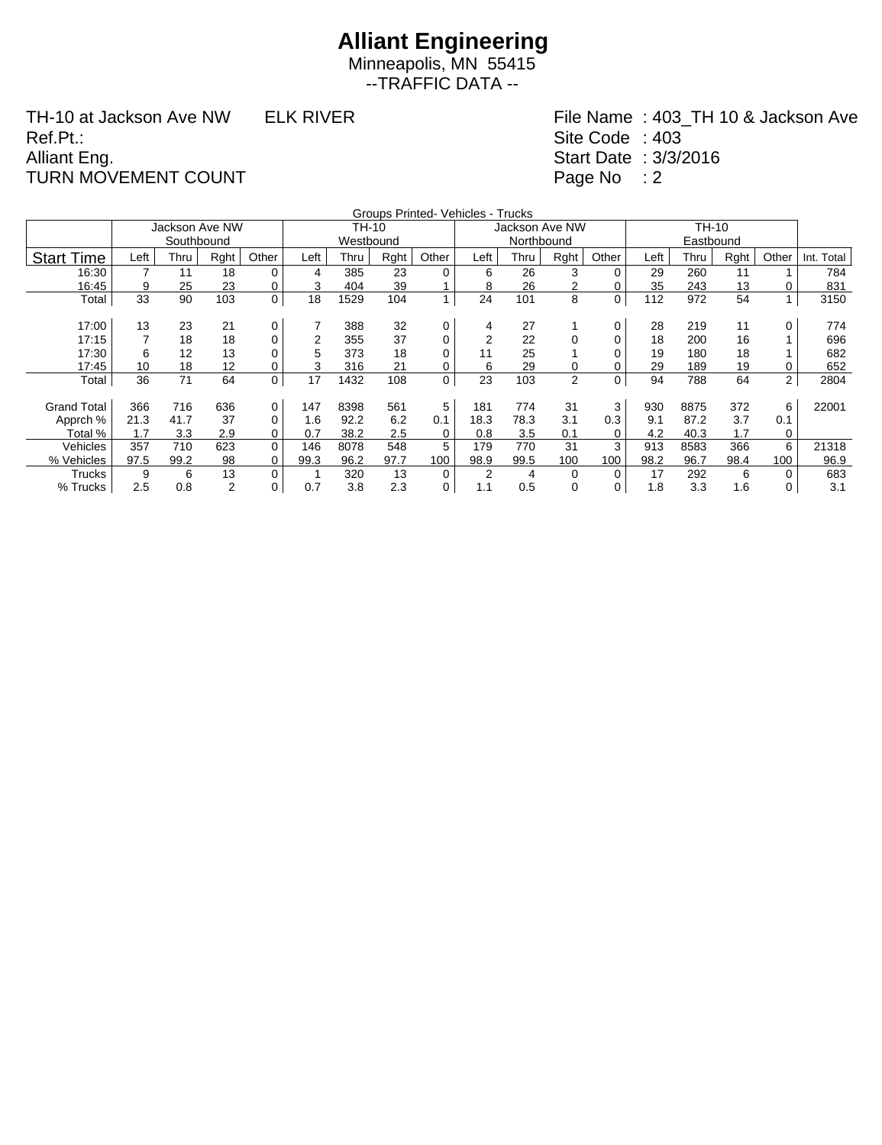Minneapolis, MN 55415 --TRAFFIC DATA --

TH-10 at Jackson Ave NW ELK RIVER Ref.Pt.: Alliant Eng. TURN MOVEMENT COUNT

|                    |      |                |                |                |      |           |      | Groups Printed- Vehicles - Trucks |                |                |                |             |      |      |      |                |            |
|--------------------|------|----------------|----------------|----------------|------|-----------|------|-----------------------------------|----------------|----------------|----------------|-------------|------|------|------|----------------|------------|
|                    |      | Jackson Ave NW |                |                |      | TH-10     |      |                                   |                | Jackson Ave NW |                |             |      |      |      |                |            |
|                    |      | Southbound     |                |                |      | Westbound |      |                                   |                | Northbound     |                |             |      |      |      |                |            |
| <b>Start Time</b>  | Left | Thru           | Rght           | Other          | Left | Thru      | Rght | Other                             | Left           | Thru           | Rght           | Other       | Left | Thru | Rght | Other          | Int. Total |
| 16:30              | 7    | 11             | 18             | 0              | 4    | 385       | 23   | $\mathbf 0$                       | 6              | 26             | 3              | $\Omega$    | 29   | 260  | 11   |                | 784        |
| 16:45              | 9    | 25             | 23             | 0              | 3    | 404       | 39   |                                   | 8              | 26             | 2              | 0           | 35   | 243  | 13   | 0              | 831        |
| Total              | 33   | 90             | 103            | $\overline{0}$ | 18   | 1529      | 104  | 1                                 | 24             | 101            | 8              | 0           | 112  | 972  | 54   | 1              | 3150       |
|                    |      |                |                |                |      |           |      |                                   |                |                |                |             |      |      |      |                |            |
| 17:00              | 13   | 23             | 21             | 0              |      | 388       | 32   | 0                                 | 4              | 27             |                | 0           | 28   | 219  | 11   | 0              | 774        |
| 17:15              |      | 18             | 18             | 0              | 2    | 355       | 37   | 0                                 | $\overline{2}$ | 22             | 0              | 0           | 18   | 200  | 16   |                | 696        |
| 17:30              | 6    | 12             | 13             |                | 5    | 373       | 18   | 0                                 | 11             | 25             |                |             | 19   | 180  | 18   |                | 682        |
| 17:45              | 10   | 18             | 12             | 0              | 3    | 316       | 21   | 0                                 | 6              | 29             | 0              | 0           | 29   | 189  | 19   | 0              | 652        |
| Total              | 36   | 71             | 64             | $\mathbf 0$    | 17   | 1432      | 108  | 0                                 | 23             | 103            | $\overline{2}$ | $\mathbf 0$ | 94   | 788  | 64   | 2 <sup>1</sup> | 2804       |
|                    |      |                |                |                |      |           |      |                                   |                |                |                |             |      |      |      |                |            |
| <b>Grand Total</b> | 366  | 716            | 636            | $\mathbf 0$    | 147  | 8398      | 561  | 5                                 | 181            | 774            | 31             | 3           | 930  | 8875 | 372  | 6              | 22001      |
| Apprch %           | 21.3 | 41.7           | 37             | 0              | 1.6  | 92.2      | 6.2  | 0.1                               | 18.3           | 78.3           | 3.1            | 0.3         | 9.1  | 87.2 | 3.7  | 0.1            |            |
| Total %            | 1.7  | 3.3            | 2.9            | 0              | 0.7  | 38.2      | 2.5  | 0                                 | 0.8            | 3.5            | 0.1            | 0           | 4.2  | 40.3 | 1.7  | 0              |            |
| Vehicles           | 357  | 710            | 623            | 0              | 146  | 8078      | 548  | 5                                 | 179            | 770            | 31             | 3           | 913  | 8583 | 366  | 6              | 21318      |
| % Vehicles         | 97.5 | 99.2           | 98             | 0              | 99.3 | 96.2      | 97.7 | 100                               | 98.9           | 99.5           | 100            | 100         | 98.2 | 96.7 | 98.4 | 100            | 96.9       |
| <b>Trucks</b>      | 9    | 6              | 13             | 0              |      | 320       | 13   | $\mathbf 0$                       | $\overline{2}$ | 4              | 0              | $\Omega$    | 17   | 292  | 6    | 0              | 683        |
| % Trucks           | 2.5  | 0.8            | $\overline{2}$ | 0              | 0.7  | 3.8       | 2.3  | 0                                 | 1.1            | 0.5            | 0              | 0           | 1.8  | 3.3  | 1.6  | 0              | 3.1        |
|                    |      |                |                |                |      |           |      |                                   |                |                |                |             |      |      |      |                |            |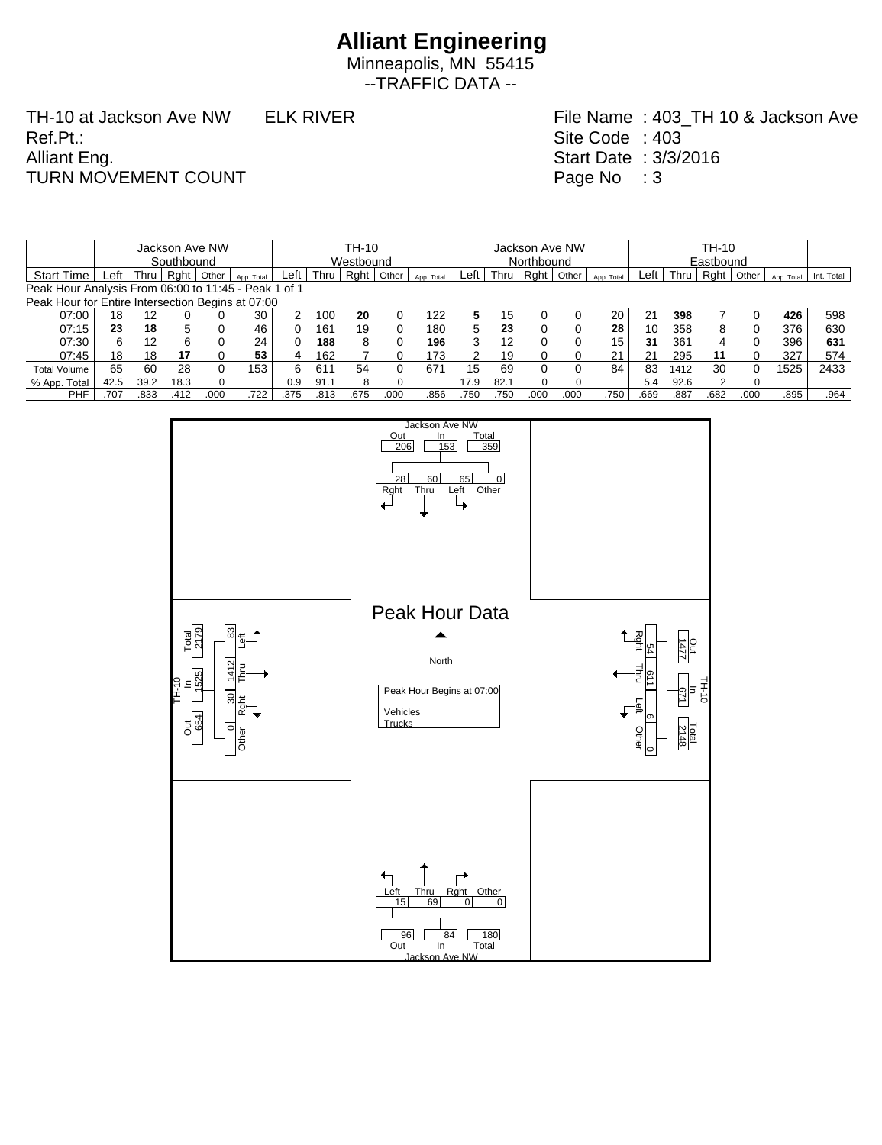Minneapolis, MN 55415 --TRAFFIC DATA --

TH-10 at Jackson Ave NW ELK RIVER Ref.Pt.: Alliant Eng. TURN MOVEMENT COUNT

|                                                      |            |      |        | Jackson Ave NW |            | TH-10    |           |      |       |            |      | Jackson Ave NW |            |          |            |      |      | TH-10 |           |            |            |  |  |  |
|------------------------------------------------------|------------|------|--------|----------------|------------|----------|-----------|------|-------|------------|------|----------------|------------|----------|------------|------|------|-------|-----------|------------|------------|--|--|--|
|                                                      | Southbound |      |        |                |            |          | Westbound |      |       |            |      |                | Northbound |          |            |      |      |       | Eastbound |            |            |  |  |  |
| <b>Start Time</b>                                    | ∟eft '     | Thru | Raht I | Other          | App. Total | Left     | Thru      | Raht | Other | App. Total | ∟eft | Thru           | Raht       | Other    | App. Total | Left | Thru | Raht  | Other     | App. Total | Int. Total |  |  |  |
| Peak Hour Analysis From 06:00 to 11:45 - Peak 1 of 1 |            |      |        |                |            |          |           |      |       |            |      |                |            |          |            |      |      |       |           |            |            |  |  |  |
| Peak Hour for Entire Intersection Begins at 07:00    |            |      |        |                |            |          |           |      |       |            |      |                |            |          |            |      |      |       |           |            |            |  |  |  |
| 07:00                                                | 18         | 12   |        |                | 30         |          | 100       | 20   |       | 122        |      | 15             |            |          | 20         | 21   | 398  |       |           | 426        | 598        |  |  |  |
| 07:15                                                | 23         | 18   | 5      |                | 46         | 0        | 161       | 19   | 0     | 180        | 5    | 23             |            |          | 28         | 10   | 358  | 8     | 0         | 376        | 630        |  |  |  |
| 07:30                                                | 6          | 12   | 6      |                | 24         | $\Omega$ | 188       | 8    |       | 196        | 3    | 12             |            |          | 15         | 31   | 361  |       | 0         | 396        | 631        |  |  |  |
| 07:45                                                | 18         | 18   | 17     |                | 53         | 4        | 162       |      |       | 173        |      | 19             |            |          | 21         | 21   | 295  |       | 0         | 327        | 574        |  |  |  |
| <b>Total Volume</b>                                  | 65         | 60   | 28     |                | 153        | 6.       | 611       | 54   |       | 671        | 15   | 69             |            |          | 84         | 83   | 1412 | 30    | 0         | 1525       | 2433       |  |  |  |
| % App. Total                                         | 42.5       | 39.2 | 18.3   |                |            | 0.9      | 91.1      | 8    |       |            | 17.9 | 82.1           |            | $\Omega$ |            | 5.4  | 92.6 |       | $\Omega$  |            |            |  |  |  |
| PHF                                                  | .707       | .833 | .412   | .000           | 722        | .375     | .813      | .675 | .000  | .856       | .750 | .750           | .000       | .000     | .750       | .669 | .887 | .682  | .000      | .895       | .964       |  |  |  |